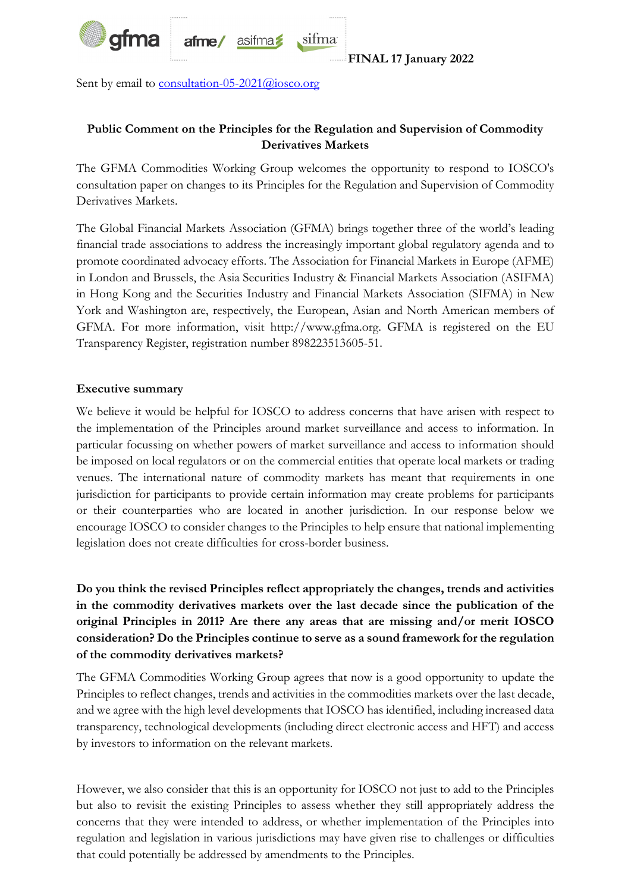

Sent by email to **consultation-05-2021@iosco.org** 

## **Public Comment on the Principles for the Regulation and Supervision of Commodity Derivatives Markets**

sifma

The GFMA Commodities Working Group welcomes the opportunity to respond to IOSCO's consultation paper on changes to its Principles for the Regulation and Supervision of Commodity Derivatives Markets.

The Global Financial Markets Association (GFMA) brings together three of the world's leading financial trade associations to address the increasingly important global regulatory agenda and to promote coordinated advocacy efforts. The Association for Financial Markets in Europe (AFME) in London and Brussels, the Asia Securities Industry & Financial Markets Association (ASIFMA) in Hong Kong and the Securities Industry and Financial Markets Association (SIFMA) in New York and Washington are, respectively, the European, Asian and North American members of GFMA. For more information, visit http://www.gfma.org. GFMA is registered on the EU Transparency Register, registration number 898223513605-51.

## **Executive summary**

We believe it would be helpful for IOSCO to address concerns that have arisen with respect to the implementation of the Principles around market surveillance and access to information. In particular focussing on whether powers of market surveillance and access to information should be imposed on local regulators or on the commercial entities that operate local markets or trading venues. The international nature of commodity markets has meant that requirements in one jurisdiction for participants to provide certain information may create problems for participants or their counterparties who are located in another jurisdiction. In our response below we encourage IOSCO to consider changes to the Principles to help ensure that national implementing legislation does not create difficulties for cross-border business.

**Do you think the revised Principles reflect appropriately the changes, trends and activities in the commodity derivatives markets over the last decade since the publication of the original Principles in 2011? Are there any areas that are missing and/or merit IOSCO consideration? Do the Principles continue to serve as a sound framework for the regulation of the commodity derivatives markets?** 

The GFMA Commodities Working Group agrees that now is a good opportunity to update the Principles to reflect changes, trends and activities in the commodities markets over the last decade, and we agree with the high level developments that IOSCO has identified, including increased data transparency, technological developments (including direct electronic access and HFT) and access by investors to information on the relevant markets.

However, we also consider that this is an opportunity for IOSCO not just to add to the Principles but also to revisit the existing Principles to assess whether they still appropriately address the concerns that they were intended to address, or whether implementation of the Principles into regulation and legislation in various jurisdictions may have given rise to challenges or difficulties that could potentially be addressed by amendments to the Principles.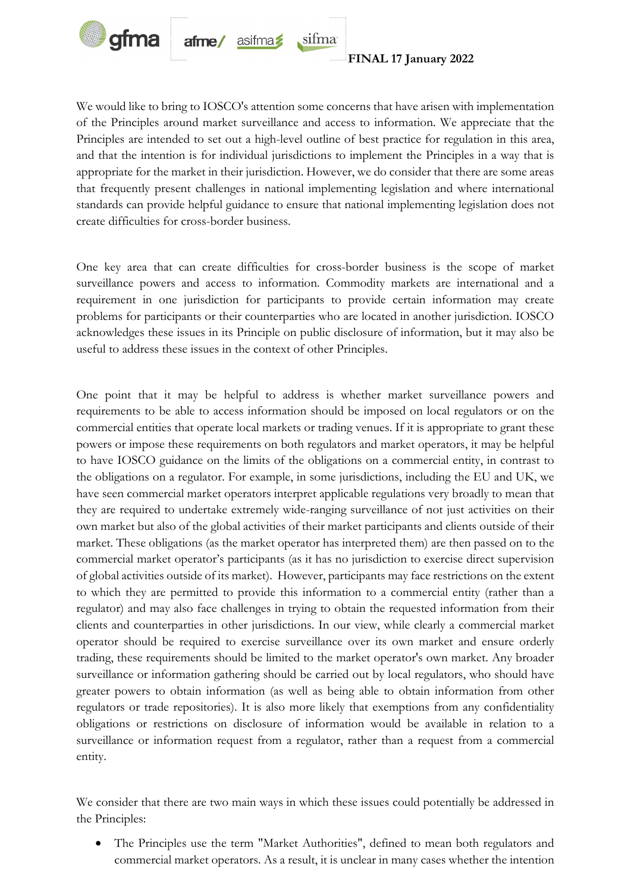

We would like to bring to IOSCO's attention some concerns that have arisen with implementation of the Principles around market surveillance and access to information. We appreciate that the Principles are intended to set out a high-level outline of best practice for regulation in this area, and that the intention is for individual jurisdictions to implement the Principles in a way that is appropriate for the market in their jurisdiction. However, we do consider that there are some areas that frequently present challenges in national implementing legislation and where international standards can provide helpful guidance to ensure that national implementing legislation does not create difficulties for cross-border business.

sifma

One key area that can create difficulties for cross-border business is the scope of market surveillance powers and access to information. Commodity markets are international and a requirement in one jurisdiction for participants to provide certain information may create problems for participants or their counterparties who are located in another jurisdiction. IOSCO acknowledges these issues in its Principle on public disclosure of information, but it may also be useful to address these issues in the context of other Principles.

One point that it may be helpful to address is whether market surveillance powers and requirements to be able to access information should be imposed on local regulators or on the commercial entities that operate local markets or trading venues. If it is appropriate to grant these powers or impose these requirements on both regulators and market operators, it may be helpful to have IOSCO guidance on the limits of the obligations on a commercial entity, in contrast to the obligations on a regulator. For example, in some jurisdictions, including the EU and UK, we have seen commercial market operators interpret applicable regulations very broadly to mean that they are required to undertake extremely wide-ranging surveillance of not just activities on their own market but also of the global activities of their market participants and clients outside of their market. These obligations (as the market operator has interpreted them) are then passed on to the commercial market operator's participants (as it has no jurisdiction to exercise direct supervision of global activities outside of its market). However, participants may face restrictions on the extent to which they are permitted to provide this information to a commercial entity (rather than a regulator) and may also face challenges in trying to obtain the requested information from their clients and counterparties in other jurisdictions. In our view, while clearly a commercial market operator should be required to exercise surveillance over its own market and ensure orderly trading, these requirements should be limited to the market operator's own market. Any broader surveillance or information gathering should be carried out by local regulators, who should have greater powers to obtain information (as well as being able to obtain information from other regulators or trade repositories). It is also more likely that exemptions from any confidentiality obligations or restrictions on disclosure of information would be available in relation to a surveillance or information request from a regulator, rather than a request from a commercial entity.

We consider that there are two main ways in which these issues could potentially be addressed in the Principles:

 The Principles use the term "Market Authorities", defined to mean both regulators and commercial market operators. As a result, it is unclear in many cases whether the intention